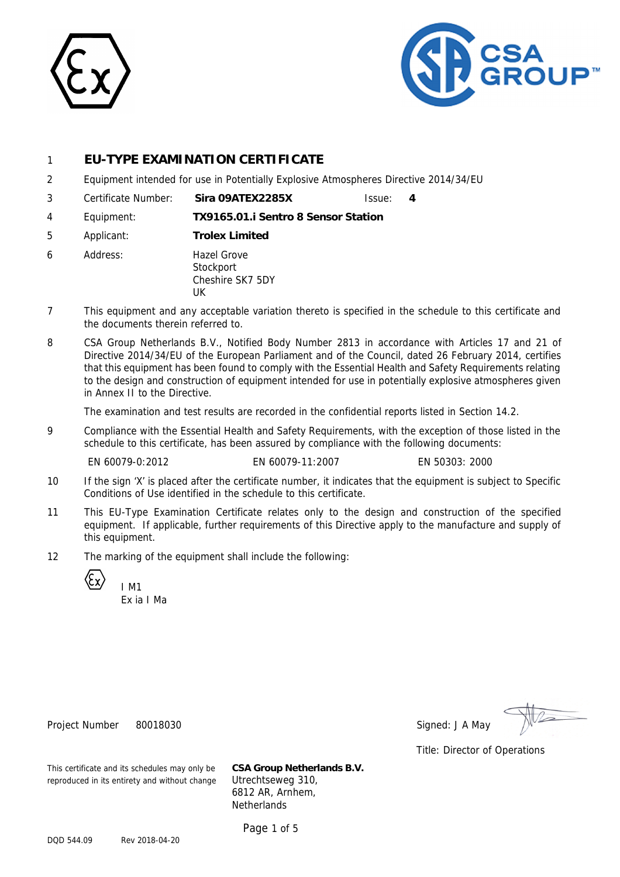



# 1 **EU-TYPE EXAMINATION CERTIFICATE**

- 2 Equipment intended for use in Potentially Explosive Atmospheres Directive 2014/34/EU
- 3 Certificate Number: **Sira 09ATEX2285X** Issue: **4**
- 4 Equipment: **TX9165.01.i Sentro 8 Sensor Station**
- 5 Applicant: **Trolex Limited**
- 6 Address: Hazel Grove **Stockport** Cheshire SK7 5DY UK
- 7 This equipment and any acceptable variation thereto is specified in the schedule to this certificate and the documents therein referred to.
- 8 CSA Group Netherlands B.V., Notified Body Number 2813 in accordance with Articles 17 and 21 of Directive 2014/34/EU of the European Parliament and of the Council, dated 26 February 2014, certifies that this equipment has been found to comply with the Essential Health and Safety Requirements relating to the design and construction of equipment intended for use in potentially explosive atmospheres given in Annex II to the Directive.

The examination and test results are recorded in the confidential reports listed in Section 14.2.

9 Compliance with the Essential Health and Safety Requirements, with the exception of those listed in the schedule to this certificate, has been assured by compliance with the following documents:

EN 60079-0:2012 EN 60079-11:2007 EN 50303: 2000

- 10 If the sign 'X' is placed after the certificate number, it indicates that the equipment is subject to Specific Conditions of Use identified in the schedule to this certificate.
- 11 This EU-Type Examination Certificate relates only to the design and construction of the specified equipment. If applicable, further requirements of this Directive apply to the manufacture and supply of this equipment.
- 12 The marking of the equipment shall include the following:

I M1

Ex ia I Ma

Project Number 80018030 Signed: J A May

Title: Director of Operations

This certificate and its schedules may only be **CSA Group Netherlands B.V.** reproduced in its entirety and without change Utrechtseweg 310,

6812 AR, Arnhem, **Netherlands** 

Page 1 of 5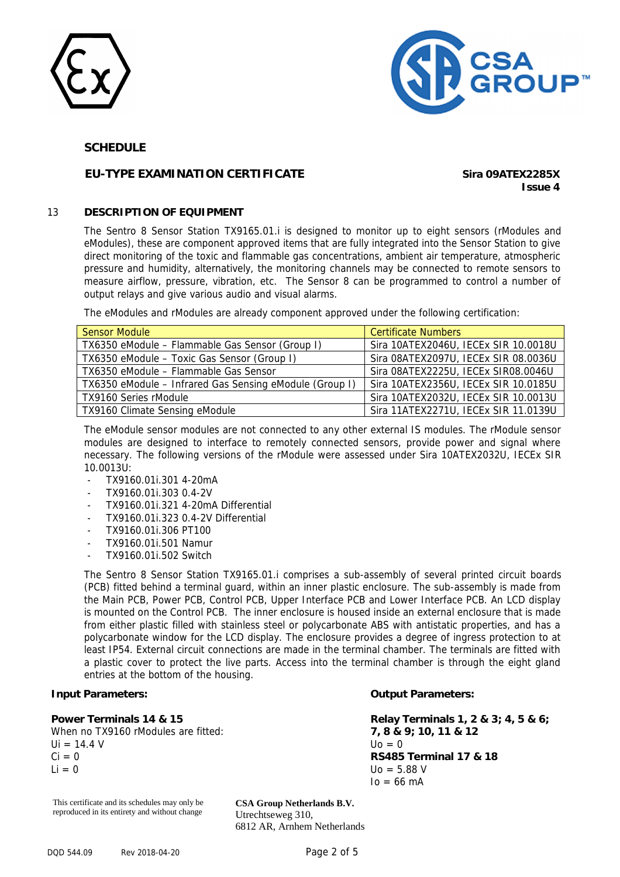



## **EU-TYPE EXAMINATION CERTIFICATE Sira 09ATEX2285X**

**Issue 4**

### 13 **DESCRIPTION OF EQUIPMENT**

The Sentro 8 Sensor Station TX9165.01.i is designed to monitor up to eight sensors (rModules and eModules), these are component approved items that are fully integrated into the Sensor Station to give direct monitoring of the toxic and flammable gas concentrations, ambient air temperature, atmospheric pressure and humidity, alternatively, the monitoring channels may be connected to remote sensors to measure airflow, pressure, vibration, etc. The Sensor 8 can be programmed to control a number of output relays and give various audio and visual alarms.

The eModules and rModules are already component approved under the following certification:

| <b>Sensor Module</b>                                    | <b>Certificate Numbers</b>           |
|---------------------------------------------------------|--------------------------------------|
| TX6350 eModule - Flammable Gas Sensor (Group I)         | Sira 10ATEX2046U, IECEx SIR 10.0018U |
| TX6350 eModule - Toxic Gas Sensor (Group I)             | Sira 08ATEX2097U, IECEx SIR 08.0036U |
| TX6350 eModule - Flammable Gas Sensor                   | Sira 08ATEX2225U, IECEx SIR08.0046U  |
| TX6350 eModule - Infrared Gas Sensing eModule (Group I) | Sira 10ATEX2356U, IECEx SIR 10.0185U |
| TX9160 Series rModule                                   | Sira 10ATEX2032U, IECEx SIR 10.0013U |
| TX9160 Climate Sensing eModule                          | Sira 11ATEX2271U, IECEx SIR 11.0139U |

The eModule sensor modules are not connected to any other external IS modules. The rModule sensor modules are designed to interface to remotely connected sensors, provide power and signal where necessary. The following versions of the rModule were assessed under Sira 10ATEX2032U, IECEx SIR 10.0013U:

- TX9160.01i.301 4-20mA
- TX9160.01i.303 0.4-2V
- TX9160.01i.321 4-20mA Differential
- TX9160.01i.323 0.4-2V Differential
- TX9160.01i.306 PT100
- TX9160.01i.501 Namur
- TX9160.01i.502 Switch

The Sentro 8 Sensor Station TX9165.01.i comprises a sub-assembly of several printed circuit boards (PCB) fitted behind a terminal guard, within an inner plastic enclosure. The sub-assembly is made from the Main PCB, Power PCB, Control PCB, Upper Interface PCB and Lower Interface PCB. An LCD display is mounted on the Control PCB. The inner enclosure is housed inside an external enclosure that is made from either plastic filled with stainless steel or polycarbonate ABS with antistatic properties, and has a polycarbonate window for the LCD display. The enclosure provides a degree of ingress protection to at least IP54. External circuit connections are made in the terminal chamber. The terminals are fitted with a plastic cover to protect the live parts. Access into the terminal chamber is through the eight gland entries at the bottom of the housing.

### **Input Parameters:**

**Power Terminals 14 & 15** 

When no TX9160 rModules are fitted:  $Ui = 14.4 V$  $Ci = 0$  $Li = 0$ 

### **Output Parameters:**

**Relay Terminals 1, 2 & 3; 4, 5 & 6; 7, 8 & 9; 10, 11 & 12**   $U<sub>0</sub> = 0$ **RS485 Terminal 17 & 18**   $U_0 = 5.88 V$  $Io = 66$  mA

This certificate and its schedules may only be reproduced in its entirety and without change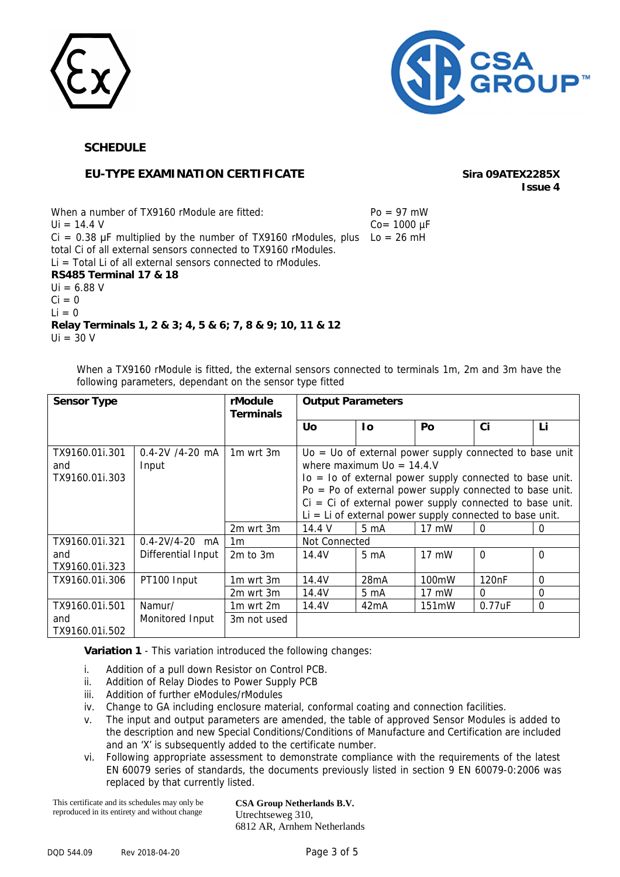



## **EU-TYPE EXAMINATION CERTIFICATE Sira 09ATEX2285X**

**Issue 4**

When a number of TX9160 rModule are fitted:  $U_i = 14.4 V$  $Ci = 0.38 \mu F$  multiplied by the number of TX9160 rModules, plus  $Lo = 26 \mu H$ total Ci of all external sensors connected to TX9160 rModules.  $Li = Total Li$  of all external sensors connected to rModules.  $Po = 97$  mW  $Co = 1000 \mu F$ **RS485 Terminal 17 & 18**   $Ui = 6.88 V$  $Ci = 0$  $Li = 0$ **Relay Terminals 1, 2 & 3; 4, 5 & 6; 7, 8 & 9; 10, 11 & 12**   $U_i = 30 V$ 

When a TX9160 rModule is fitted, the external sensors connected to terminals 1m, 2m and 3m have the following parameters, dependant on the sensor type fitted

| <b>Sensor Type</b>                      |                              | rModule<br><b>Terminals</b>       | <b>Output Parameters</b> |                                                                                                                                                                                                                                                                                                                                                     |                 |                    |              |
|-----------------------------------------|------------------------------|-----------------------------------|--------------------------|-----------------------------------------------------------------------------------------------------------------------------------------------------------------------------------------------------------------------------------------------------------------------------------------------------------------------------------------------------|-----------------|--------------------|--------------|
|                                         |                              |                                   | Uo                       | 1o                                                                                                                                                                                                                                                                                                                                                  | Po              | Ci                 | Li           |
| TX9160.01i.301<br>and<br>TX9160.01i.303 | $0.4 - 2V$ /4-20 mA<br>Input | 1 <sub>m</sub> wrt 3 <sub>m</sub> |                          | $U_0 = U_0$ of external power supply connected to base unit<br>where maximum $U_0 = 14.4$ .<br>$Io = Io$ of external power supply connected to base unit.<br>$Po = Po$ of external power supply connected to base unit.<br>$Ci = Ci$ of external power supply connected to base unit.<br>$Li = Li$ of external power supply connected to base unit. |                 |                    |              |
|                                         |                              | 2m wrt 3m                         | 14.4 V                   | $5 \text{ mA}$                                                                                                                                                                                                                                                                                                                                      | 17 mW           | 0                  | $\Omega$     |
| TX9160.01i.321                          | $0.4 - 2V/4 - 20$ mA         | 1 <sub>m</sub>                    | Not Connected            |                                                                                                                                                                                                                                                                                                                                                     |                 |                    |              |
| and<br>TX9160.01i.323                   | Differential Input           | $2m$ to $3m$                      | 14.4V                    | 5 <sub>m</sub> A                                                                                                                                                                                                                                                                                                                                    | 17 mW           | $\Omega$           | $\Omega$     |
| TX9160.01i.306                          | PT100 Input                  | 1m wrt 3m                         | 14.4V                    | 28mA                                                                                                                                                                                                                                                                                                                                                | 100mW           | 120 <sub>n</sub> F | $\mathbf{0}$ |
|                                         |                              | 2m wrt 3m                         | 14.4V                    | 5 mA                                                                                                                                                                                                                                                                                                                                                | $17 \text{ mW}$ | $\Omega$           | $\mathbf{0}$ |
| TX9160.01i.501                          | Namur/                       | 1m wrt 2m                         | 14.4V                    | 42 <sub>m</sub> A                                                                                                                                                                                                                                                                                                                                   | 151mW           | 0.77uF             | $\mathbf{0}$ |
| and<br>TX9160.01i.502                   | Monitored Input              | 3m not used                       |                          |                                                                                                                                                                                                                                                                                                                                                     |                 |                    |              |

**Variation 1** - This variation introduced the following changes:

- i. Addition of a pull down Resistor on Control PCB.
- ii. Addition of Relay Diodes to Power Supply PCB
- iii. Addition of further eModules/rModules
- iv. Change to GA including enclosure material, conformal coating and connection facilities.
- v. The input and output parameters are amended, the table of approved Sensor Modules is added to the description and new Special Conditions/Conditions of Manufacture and Certification are included and an 'X' is subsequently added to the certificate number.
- vi. Following appropriate assessment to demonstrate compliance with the requirements of the latest EN 60079 series of standards, the documents previously listed in section 9 EN 60079-0:2006 was replaced by that currently listed.

This certificate and its schedules may only be reproduced in its entirety and without change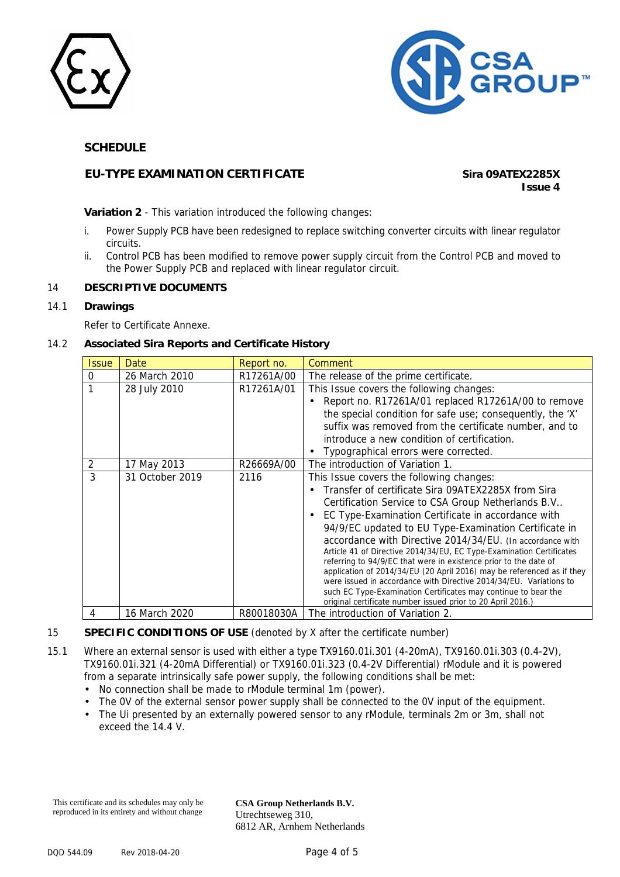



# **EU-TYPE EXAMINATION CERTIFICATE Sira 09ATEX2285X**

**Issue 4**

**Variation 2** - This variation introduced the following changes:

- i. Power Supply PCB have been redesigned to replace switching converter circuits with linear regulator circuits.
- ii. Control PCB has been modified to remove power supply circuit from the Control PCB and moved to the Power Supply PCB and replaced with linear regulator circuit.

### 14 **DESCRIPTIVE DOCUMENTS**

### 14.1 **Drawings**

Refer to Certificate Annexe.

### 14.2 **Associated Sira Reports and Certificate History**

| <i><b>Issue</b></i> | Date                           | Report no.         | Comment                                                                                                                                                                                                                                                                                                                                                                                                                                                                                                                                                                                                                                                                                                                                                                                                        |
|---------------------|--------------------------------|--------------------|----------------------------------------------------------------------------------------------------------------------------------------------------------------------------------------------------------------------------------------------------------------------------------------------------------------------------------------------------------------------------------------------------------------------------------------------------------------------------------------------------------------------------------------------------------------------------------------------------------------------------------------------------------------------------------------------------------------------------------------------------------------------------------------------------------------|
| $\mathbf{0}$        | 26 March 2010                  | R17261A/00         | The release of the prime certificate.                                                                                                                                                                                                                                                                                                                                                                                                                                                                                                                                                                                                                                                                                                                                                                          |
|                     | 28 July 2010                   | R17261A/01         | This Issue covers the following changes:<br>Report no. R17261A/01 replaced R17261A/00 to remove<br>$\bullet$<br>the special condition for safe use; consequently, the 'X'<br>suffix was removed from the certificate number, and to<br>introduce a new condition of certification.<br>Typographical errors were corrected.                                                                                                                                                                                                                                                                                                                                                                                                                                                                                     |
| 2<br>3              | 17 May 2013<br>31 October 2019 | R26669A/00<br>2116 | The introduction of Variation 1.<br>This Issue covers the following changes:<br>Transfer of certificate Sira 09ATEX2285X from Sira<br>$\bullet$<br>Certification Service to CSA Group Netherlands B.V<br>EC Type-Examination Certificate in accordance with<br>94/9/EC updated to EU Type-Examination Certificate in<br>accordance with Directive 2014/34/EU. (In accordance with<br>Article 41 of Directive 2014/34/EU, EC Type-Examination Certificates<br>referring to 94/9/EC that were in existence prior to the date of<br>application of 2014/34/EU (20 April 2016) may be referenced as if they<br>were issued in accordance with Directive 2014/34/EU. Variations to<br>such EC Type-Examination Certificates may continue to bear the<br>original certificate number issued prior to 20 April 2016.) |
|                     | 16 March 2020                  | R80018030A         | The introduction of Variation 2.                                                                                                                                                                                                                                                                                                                                                                                                                                                                                                                                                                                                                                                                                                                                                                               |

### 15 **SPECIFIC CONDITIONS OF USE** (denoted by X after the certificate number)

- 15.1 Where an external sensor is used with either a type TX9160.01i.301 (4-20mA), TX9160.01i.303 (0.4-2V), TX9160.01i.321 (4-20mA Differential) or TX9160.01i.323 (0.4-2V Differential) rModule and it is powered from a separate intrinsically safe power supply, the following conditions shall be met:
	- No connection shall be made to rModule terminal 1m (power).
	- The OV of the external sensor power supply shall be connected to the OV input of the equipment.
	- The Ui presented by an externally powered sensor to any rModule, terminals 2m or 3m, shall not exceed the 14.4 V.

This certificate and its schedules may only be reproduced in its entirety and without change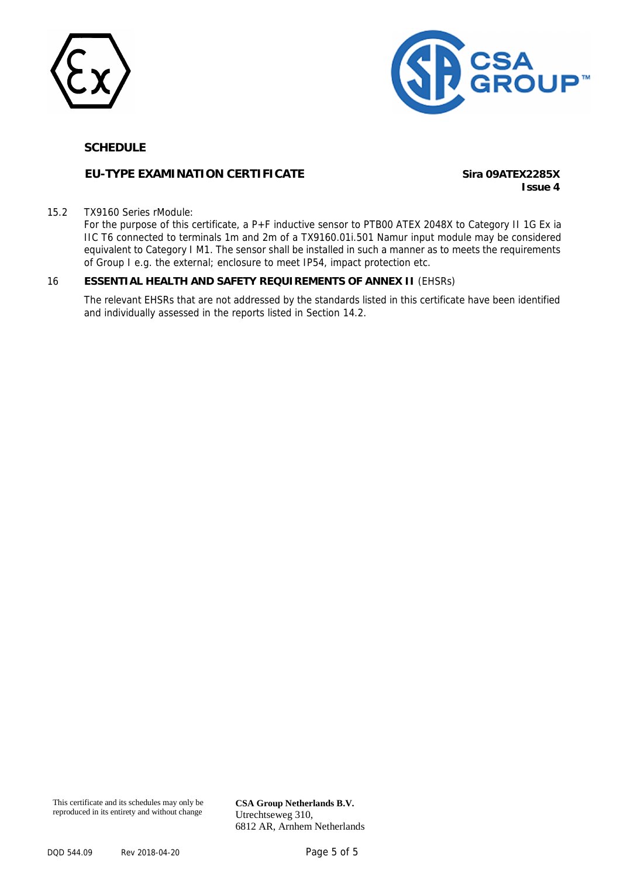



## **EU-TYPE EXAMINATION CERTIFICATE Sira 09ATEX2285X**

**Issue 4**

#### 15.2 TX9160 Series rModule:

For the purpose of this certificate, a P+F inductive sensor to PTB00 ATEX 2048X to Category II 1G Ex ia IIC T6 connected to terminals 1m and 2m of a TX9160.01i.501 Namur input module may be considered equivalent to Category I M1. The sensor shall be installed in such a manner as to meets the requirements of Group I e.g. the external; enclosure to meet IP54, impact protection etc.

### 16 **ESSENTIAL HEALTH AND SAFETY REQUIREMENTS OF ANNEX II** (EHSRs)

The relevant EHSRs that are not addressed by the standards listed in this certificate have been identified and individually assessed in the reports listed in Section 14.2.